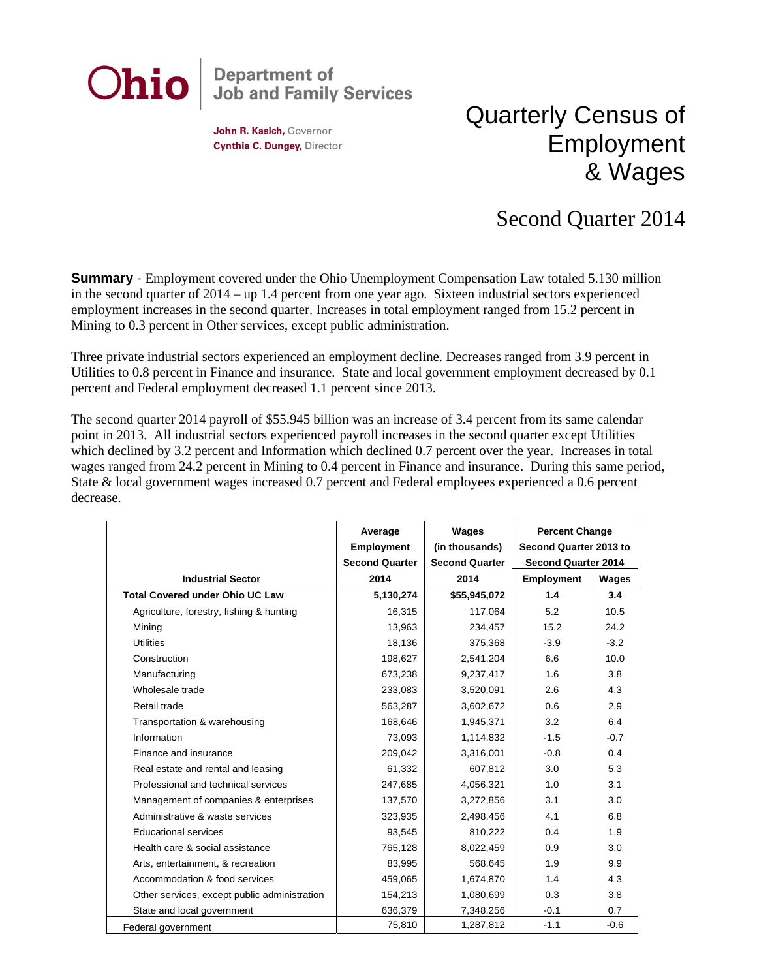

John R. Kasich, Governor Cynthia C. Dungey, Director

## Quarterly Census of Employment & Wages

## Second Quarter 2014

**Summary** - Employment covered under the Ohio Unemployment Compensation Law totaled 5.130 million in the second quarter of 2014 – up 1.4 percent from one year ago. Sixteen industrial sectors experienced employment increases in the second quarter. Increases in total employment ranged from 15.2 percent in Mining to 0.3 percent in Other services, except public administration.

Three private industrial sectors experienced an employment decline. Decreases ranged from 3.9 percent in Utilities to 0.8 percent in Finance and insurance. State and local government employment decreased by 0.1 percent and Federal employment decreased 1.1 percent since 2013.

The second quarter 2014 payroll of \$55.945 billion was an increase of 3.4 percent from its same calendar point in 2013. All industrial sectors experienced payroll increases in the second quarter except Utilities which declined by 3.2 percent and Information which declined 0.7 percent over the year. Increases in total wages ranged from 24.2 percent in Mining to 0.4 percent in Finance and insurance. During this same period, State & local government wages increased 0.7 percent and Federal employees experienced a 0.6 percent decrease.

|                                              | Average               | Wages                 | <b>Percent Change</b>      |        |
|----------------------------------------------|-----------------------|-----------------------|----------------------------|--------|
|                                              | <b>Employment</b>     | (in thousands)        | Second Quarter 2013 to     |        |
|                                              | <b>Second Quarter</b> | <b>Second Quarter</b> | <b>Second Quarter 2014</b> |        |
| <b>Industrial Sector</b>                     | 2014                  | 2014                  | <b>Employment</b>          | Wages  |
| <b>Total Covered under Ohio UC Law</b>       | 5,130,274             | \$55,945,072          | 1.4                        | 3.4    |
| Agriculture, forestry, fishing & hunting     | 16,315                | 117,064               | 5.2                        | 10.5   |
| Mining                                       | 13,963                | 234,457               | 15.2                       | 24.2   |
| <b>Utilities</b>                             | 18,136                | 375,368               | $-3.9$                     | $-3.2$ |
| Construction                                 | 198,627               | 2,541,204             | 6.6                        | 10.0   |
| Manufacturing                                | 673,238               | 9,237,417             | 1.6                        | 3.8    |
| Wholesale trade                              | 233,083               | 3,520,091             | 2.6                        | 4.3    |
| Retail trade                                 | 563,287               | 3,602,672             | 0.6                        | 2.9    |
| Transportation & warehousing                 | 168,646               | 1,945,371             | 3.2                        | 6.4    |
| Information                                  | 73,093                | 1,114,832             | $-1.5$                     | $-0.7$ |
| Finance and insurance                        | 209,042               | 3,316,001             | $-0.8$                     | 0.4    |
| Real estate and rental and leasing           | 61,332                | 607,812               | 3.0                        | 5.3    |
| Professional and technical services          | 247,685               | 4,056,321             | 1.0                        | 3.1    |
| Management of companies & enterprises        | 137,570               | 3,272,856             | 3.1                        | 3.0    |
| Administrative & waste services              | 323,935               | 2,498,456             | 4.1                        | 6.8    |
| <b>Educational services</b>                  | 93,545                | 810,222               | 0.4                        | 1.9    |
| Health care & social assistance              | 765,128               | 8,022,459             | 0.9                        | 3.0    |
| Arts, entertainment, & recreation            | 83,995                | 568,645               | 1.9                        | 9.9    |
| Accommodation & food services                | 459,065               | 1,674,870             | 1.4                        | 4.3    |
| Other services, except public administration | 154,213               | 1,080,699             | 0.3                        | 3.8    |
| State and local government                   | 636,379               | 7,348,256             | $-0.1$                     | 0.7    |
| Federal government                           | 75,810                | 1,287,812             | $-1.1$                     | $-0.6$ |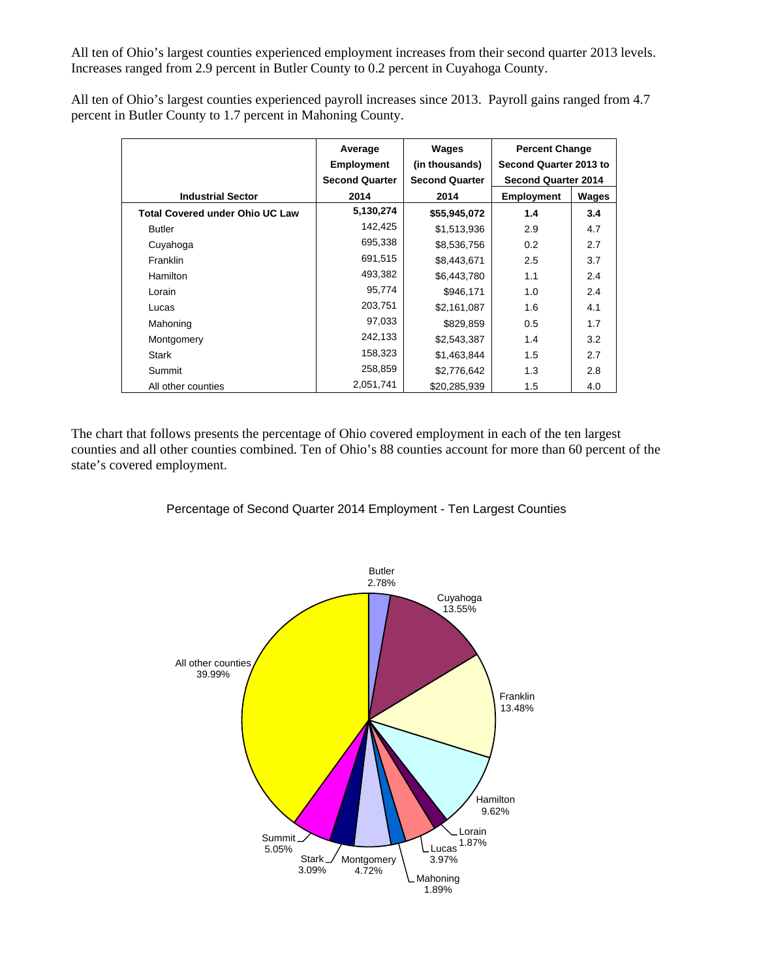All ten of Ohio's largest counties experienced employment increases from their second quarter 2013 levels. Increases ranged from 2.9 percent in Butler County to 0.2 percent in Cuyahoga County.

All ten of Ohio's largest counties experienced payroll increases since 2013. Payroll gains ranged from 4.7 percent in Butler County to 1.7 percent in Mahoning County.

|                                        | Average<br><b>Employment</b> | Wages<br>(in thousands) | <b>Percent Change</b><br>Second Quarter 2013 to |       |
|----------------------------------------|------------------------------|-------------------------|-------------------------------------------------|-------|
|                                        | <b>Second Quarter</b>        | <b>Second Quarter</b>   | <b>Second Quarter 2014</b>                      |       |
| <b>Industrial Sector</b>               | 2014                         | 2014                    | <b>Employment</b>                               | Wages |
| <b>Total Covered under Ohio UC Law</b> | 5,130,274                    | \$55,945,072            | 1.4                                             | 3.4   |
| <b>Butler</b>                          | 142,425                      | \$1,513,936             | 2.9                                             | 4.7   |
| Cuyahoga                               | 695,338                      | \$8,536,756             | 0.2                                             | 2.7   |
| Franklin                               | 691,515                      | \$8,443,671             | 2.5                                             | 3.7   |
| Hamilton                               | 493,382                      | \$6,443,780             | 1.1                                             | 2.4   |
| Lorain                                 | 95,774                       | \$946,171               | 1.0                                             | 2.4   |
| Lucas                                  | 203,751                      | \$2,161,087             | 1.6                                             | 4.1   |
| Mahoning                               | 97,033                       | \$829,859               | 0.5                                             | 1.7   |
| Montgomery                             | 242,133                      | \$2,543,387             | 1.4                                             | 3.2   |
| <b>Stark</b>                           | 158,323                      | \$1,463,844             | 1.5                                             | 2.7   |
| Summit                                 | 258,859                      | \$2,776,642             | 1.3                                             | 2.8   |
| All other counties                     | 2,051,741                    | \$20,285,939            | 1.5                                             | 4.0   |

The chart that follows presents the percentage of Ohio covered employment in each of the ten largest counties and all other counties combined. Ten of Ohio's 88 counties account for more than 60 percent of the state's covered employment.

## Percentage of Second Quarter 2014 Employment - Ten Largest Counties